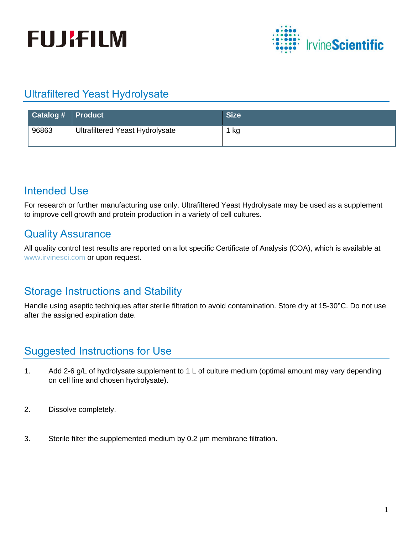



# Ultrafiltered Yeast Hydrolysate

| <b>Catalog #</b> Product |                                        | <b>Size</b> |
|--------------------------|----------------------------------------|-------------|
| 96863                    | <b>Ultrafiltered Yeast Hydrolysate</b> | 1 kg        |

#### Intended Use

For research or further manufacturing use only. Ultrafiltered Yeast Hydrolysate may be used as a supplement to improve cell growth and protein production in a variety of cell cultures.

## Quality Assurance

All quality control test results are reported on a lot specific Certificate of Analysis (COA), which is available at [www.irvinesci.com](http://www.irvinesci.com/) or upon request.

## Storage Instructions and Stability

Handle using aseptic techniques after sterile filtration to avoid contamination. Store dry at 15-30°C. Do not use after the assigned expiration date.

# Suggested Instructions for Use

- 1. Add 2-6 g/L of hydrolysate supplement to 1 L of culture medium (optimal amount may vary depending on cell line and chosen hydrolysate).
- 2. Dissolve completely.
- 3. Sterile filter the supplemented medium by 0.2 µm membrane filtration.